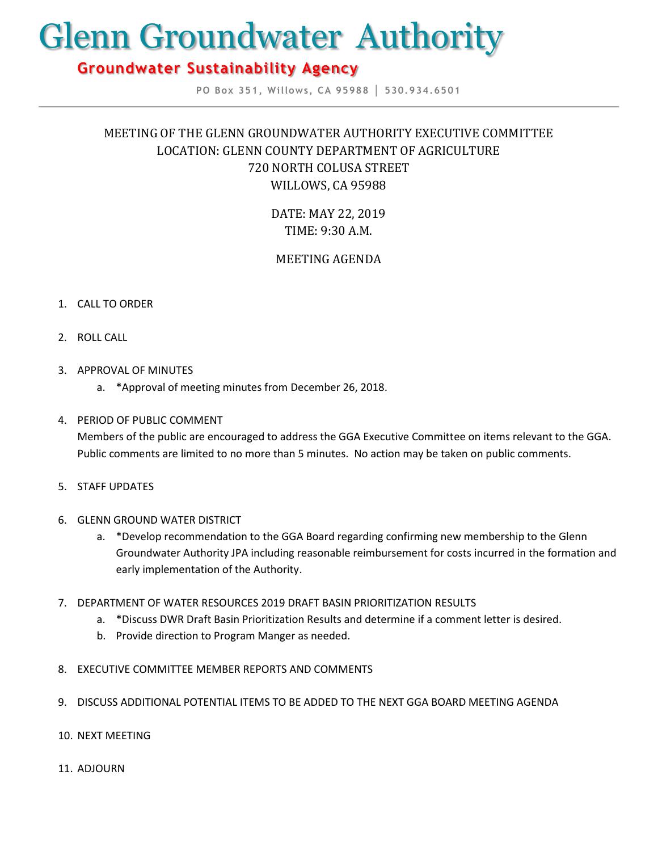# Glenn Groundwater Authority

# **Groundwater Sustainability Agency**

**PO Box 351, Willows, CA 95988 │ 530.934.6501**

## MEETING OF THE GLENN GROUNDWATER AUTHORITY EXECUTIVE COMMITTEE LOCATION: GLENN COUNTY DEPARTMENT OF AGRICULTURE 720 NORTH COLUSA STREET WILLOWS, CA 95988

DATE: MAY 22, 2019 TIME: 9:30 A.M.

## MEETING AGENDA

#### 1. CALL TO ORDER

- 2. ROLL CALL
- 3. APPROVAL OF MINUTES
	- a. \*Approval of meeting minutes from December 26, 2018.

### 4. PERIOD OF PUBLIC COMMENT

Members of the public are encouraged to address the GGA Executive Committee on items relevant to the GGA. Public comments are limited to no more than 5 minutes. No action may be taken on public comments.

- 5. STAFF UPDATES
- 6. GLENN GROUND WATER DISTRICT
	- a. \*Develop recommendation to the GGA Board regarding confirming new membership to the Glenn Groundwater Authority JPA including reasonable reimbursement for costs incurred in the formation and early implementation of the Authority.
- 7. DEPARTMENT OF WATER RESOURCES 2019 DRAFT BASIN PRIORITIZATION RESULTS
	- a. \*Discuss DWR Draft Basin Prioritization Results and determine if a comment letter is desired.
	- b. Provide direction to Program Manger as needed.
- 8. EXECUTIVE COMMITTEE MEMBER REPORTS AND COMMENTS
- 9. DISCUSS ADDITIONAL POTENTIAL ITEMS TO BE ADDED TO THE NEXT GGA BOARD MEETING AGENDA
- 10. NEXT MEETING
- 11. ADJOURN